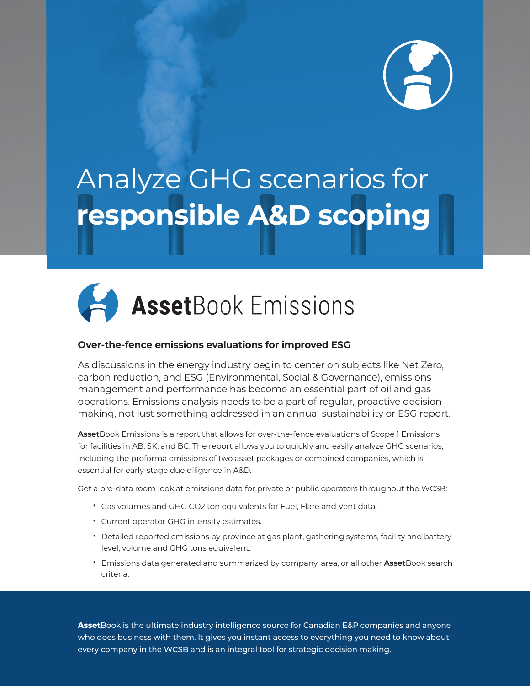

## Analyze GHG scenarios for **responsible A&D scoping**



## **Over-the-fence emissions evaluations for improved ESG**

As discussions in the energy industry begin to center on subjects like Net Zero, carbon reduction, and ESG (Environmental, Social & Governance), emissions management and performance has become an essential part of oil and gas operations. Emissions analysis needs to be a part of regular, proactive decisionmaking, not just something addressed in an annual sustainability or ESG report.

**Asset**Book Emissions is a report that allows for over-the-fence evaluations of Scope 1 Emissions for facilities in AB, SK, and BC. The report allows you to quickly and easily analyze GHG scenarios, including the proforma emissions of two asset packages or combined companies, which is essential for early-stage due diligence in A&D.

Get a pre-data room look at emissions data for private or public operators throughout the WCSB:

- Gas volumes and GHG CO2 ton equivalents for Fuel, Flare and Vent data.
- Current operator GHG intensity estimates.
- Detailed reported emissions by province at gas plant, gathering systems, facility and battery level, volume and GHG tons equivalent.
- Emissions data generated and summarized by company, area, or all other **Asset**Book search criteria.

**Asset**Book is the ultimate industry intelligence source for Canadian E&P companies and anyone who does business with them. It gives you instant access to everything you need to know about every company in the WCSB and is an integral tool for strategic decision making.